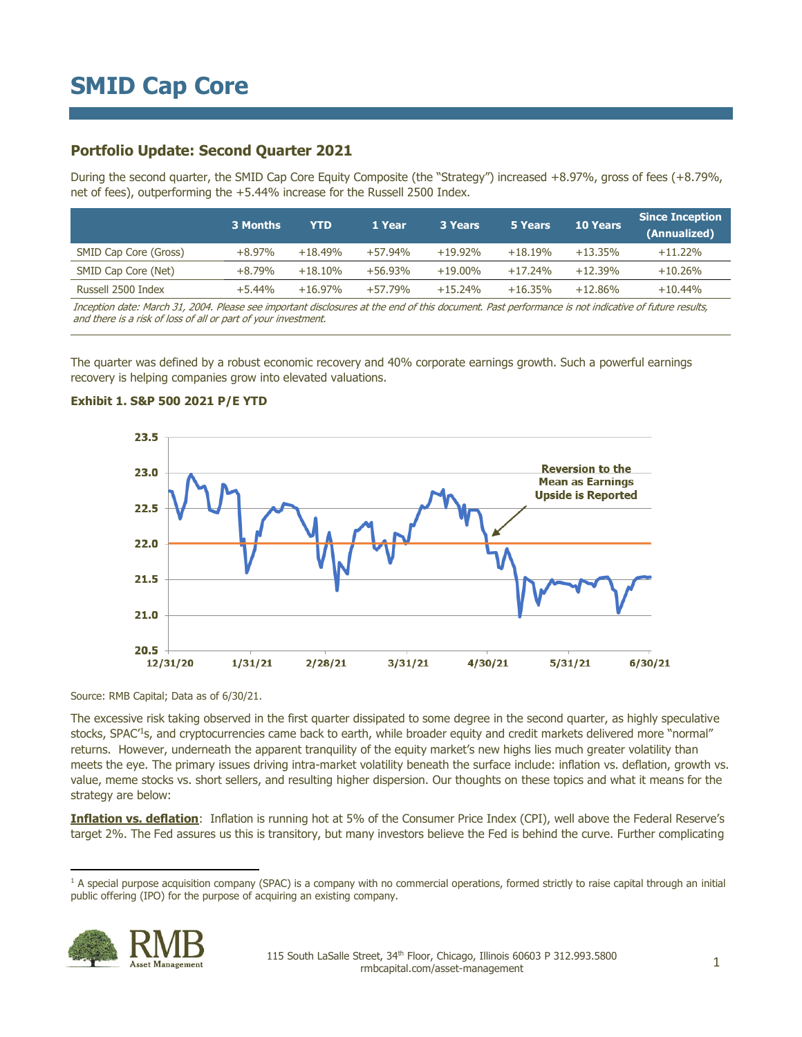### **Portfolio Update: Second Quarter 2021**

During the second quarter, the SMID Cap Core Equity Composite (the "Strategy") increased +8.97%, gross of fees (+8.79%, net of fees), outperforming the +5.44% increase for the Russell 2500 Index.

|                       | 3 Months | <b>YTD</b> | 1 Year    | <b>3 Years</b> | 5 Years   | <b>10 Years</b> | <b>Since Inception</b><br>(Annualized) |
|-----------------------|----------|------------|-----------|----------------|-----------|-----------------|----------------------------------------|
| SMID Cap Core (Gross) | $+8.97%$ | $+18.49%$  | $+57.94%$ | $+19.92%$      | $+18.19%$ | $+13.35%$       | $+11.22%$                              |
| SMID Cap Core (Net)   | $+8.79%$ | $+18.10%$  | $+56.93%$ | $+19.00\%$     | $+17.24%$ | $+12.39%$       | $+10.26%$                              |
| Russell 2500 Index    | $+5.44%$ | $+16.97%$  | $+57.79%$ | $+15.24%$      | $+16.35%$ | $+12.86%$       | $+10.44%$                              |
|                       |          |            |           |                |           |                 |                                        |

Inception date: March 31, 2004. Please see important disclosures at the end of this document. Past performance is not indicative of future results, and there is a risk of loss of all or part of your investment.

The quarter was defined by a robust economic recovery and 40% corporate earnings growth. Such a powerful earnings recovery is helping companies grow into elevated valuations.



### **Exhibit 1. S&P 500 2021 P/E YTD**

Source: RMB Capital; Data as of 6/30/21.

The excessive risk taking observed in the first quarter dissipated to some degree in the second quarter, as highly speculative stocks, SPAC<sup>1</sup>s, and cryptocurrencies came back to earth, while broader equity and credit markets delivered more "normal" returns. However, underneath the apparent tranquility of the equity market's new highs lies much greater volatility than meets the eye. The primary issues driving intra-market volatility beneath the surface include: inflation vs. deflation, growth vs. value, meme stocks vs. short sellers, and resulting higher dispersion. Our thoughts on these topics and what it means for the strategy are below:

**Inflation vs. deflation**: Inflation is running hot at 5% of the Consumer Price Index (CPI), well above the Federal Reserve's target 2%. The Fed assures us this is transitory, but many investors believe the Fed is behind the curve. Further complicating

<sup>&</sup>lt;sup>1</sup> A special purpose acquisition company (SPAC) is a company with no commercial operations, formed strictly to raise capital through an initial public offering (IPO) for the purpose of acquiring an existing company.

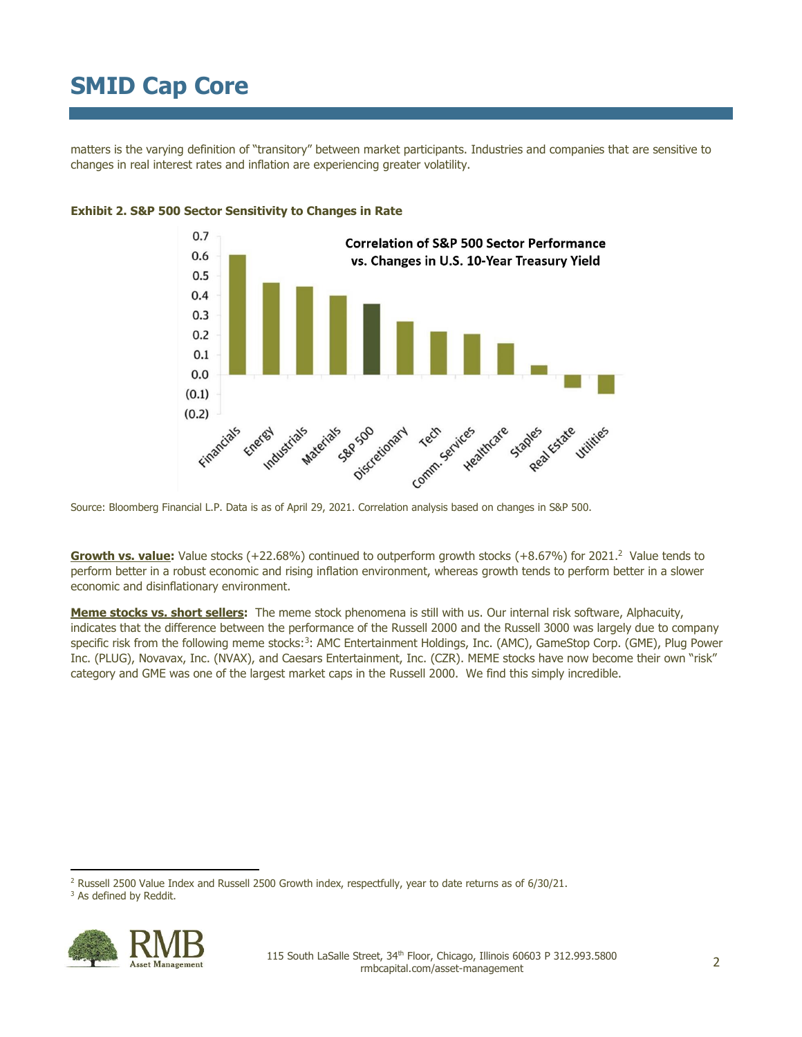matters is the varying definition of "transitory" between market participants. Industries and companies that are sensitive to changes in real interest rates and inflation are experiencing greater volatility.



### **Exhibit 2. S&P 500 Sector Sensitivity to Changes in Rate**

Source: Bloomberg Financial L.P. Data is as of April 29, 2021. Correlation analysis based on changes in S&P 500.

**Growth vs. value:** Value stocks (+22.68%) continued to outperform growth stocks (+8.67%) for 2021.<sup>2</sup> Value tends to perform better in a robust economic and rising inflation environment, whereas growth tends to perform better in a slower economic and disinflationary environment.

**Meme stocks vs. short sellers:** The meme stock phenomena is still with us. Our internal risk software, Alphacuity, indicates that the difference between the performance of the Russell 2000 and the Russell 3000 was largely due to company specific risk from the following meme stocks:<sup>3</sup>: AMC Entertainment Holdings, Inc. (AMC), GameStop Corp. (GME), Plug Power Inc. (PLUG), Novavax, Inc. (NVAX), and Caesars Entertainment, Inc. (CZR). MEME stocks have now become their own "risk" category and GME was one of the largest market caps in the Russell 2000. We find this simply incredible.

<sup>&</sup>lt;sup>3</sup> As defined by Reddit.



<sup>2</sup> Russell 2500 Value Index and Russell 2500 Growth index, respectfully, year to date returns as of 6/30/21.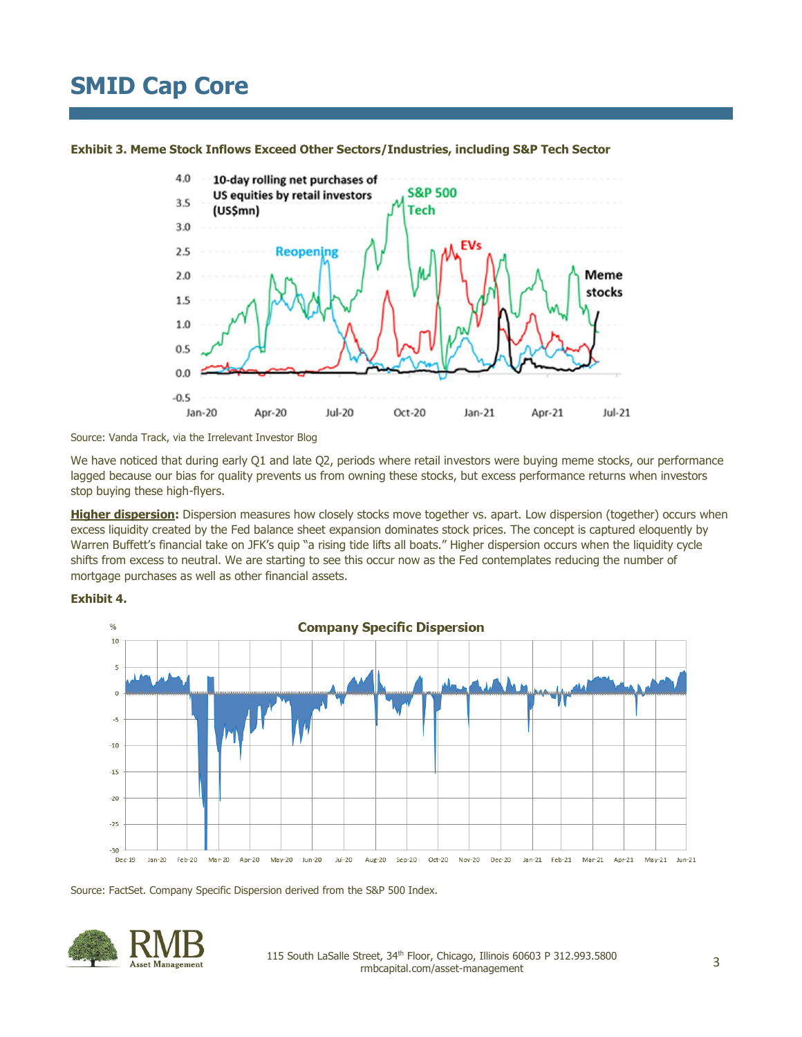

**Exhibit 3. Meme Stock Inflows Exceed Other Sectors/Industries, including S&P Tech Sector**

Source: Vanda Track, via the Irrelevant Investor Blog

We have noticed that during early Q1 and late Q2, periods where retail investors were buying meme stocks, our performance lagged because our bias for quality prevents us from owning these stocks, but excess performance returns when investors stop buying these high-flyers.

**Higher dispersion:** Dispersion measures how closely stocks move together vs. apart. Low dispersion (together) occurs when excess liquidity created by the Fed balance sheet expansion dominates stock prices. The concept is captured eloquently by Warren Buffett's financial take on JFK's quip "a rising tide lifts all boats." Higher dispersion occurs when the liquidity cycle shifts from excess to neutral. We are starting to see this occur now as the Fed contemplates reducing the number of mortgage purchases as well as other financial assets.





Source: FactSet. Company Specific Dispersion derived from the S&P 500 Index.

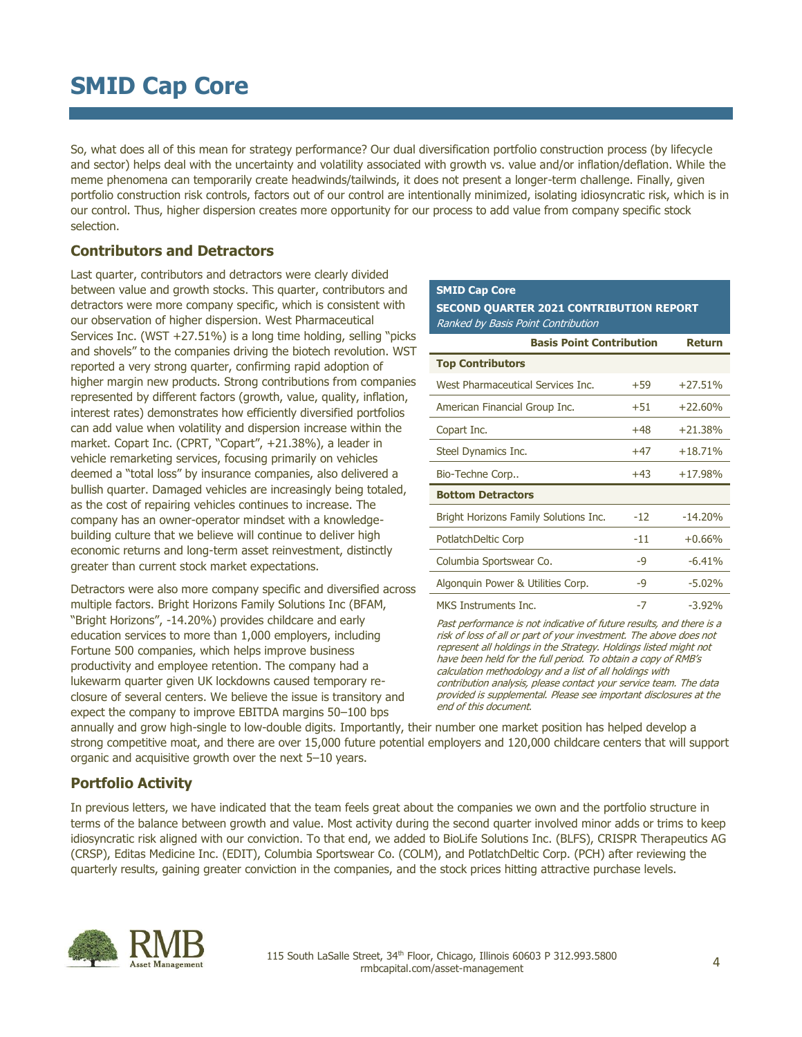So, what does all of this mean for strategy performance? Our dual diversification portfolio construction process (by lifecycle and sector) helps deal with the uncertainty and volatility associated with growth vs. value and/or inflation/deflation. While the meme phenomena can temporarily create headwinds/tailwinds, it does not present a longer-term challenge. Finally, given portfolio construction risk controls, factors out of our control are intentionally minimized, isolating idiosyncratic risk, which is in our control. Thus, higher dispersion creates more opportunity for our process to add value from company specific stock selection.

### **Contributors and Detractors**

Last quarter, contributors and detractors were clearly divided between value and growth stocks. This quarter, contributors and detractors were more company specific, which is consistent with our observation of higher dispersion. West Pharmaceutical Services Inc. (WST +27.51%) is a long time holding, selling "picks and shovels" to the companies driving the biotech revolution. WST reported a very strong quarter, confirming rapid adoption of higher margin new products. Strong contributions from companies represented by different factors (growth, value, quality, inflation, interest rates) demonstrates how efficiently diversified portfolios can add value when volatility and dispersion increase within the market. Copart Inc. (CPRT, "Copart", +21.38%), a leader in vehicle remarketing services, focusing primarily on vehicles deemed a "total loss" by insurance companies, also delivered a bullish quarter. Damaged vehicles are increasingly being totaled, as the cost of repairing vehicles continues to increase. The company has an owner-operator mindset with a knowledgebuilding culture that we believe will continue to deliver high economic returns and long-term asset reinvestment, distinctly greater than current stock market expectations.

Detractors were also more company specific and diversified across multiple factors. Bright Horizons Family Solutions Inc (BFAM, "Bright Horizons", -14.20%) provides childcare and early education services to more than 1,000 employers, including Fortune 500 companies, which helps improve business productivity and employee retention. The company had a lukewarm quarter given UK lockdowns caused temporary reclosure of several centers. We believe the issue is transitory and expect the company to improve EBITDA margins 50–100 bps

### **SMID Cap Core**

**SECOND QUARTER 2021 CONTRIBUTION REPORT** Ranked by Basis Point Contribution

| <b>Basis Point Contribution</b>       | <b>Return</b> |           |  |
|---------------------------------------|---------------|-----------|--|
| <b>Top Contributors</b>               |               |           |  |
| West Pharmaceutical Services Inc.     | $+59$         | $+27.51%$ |  |
| American Financial Group Inc.         | $+51$         | $+22.60%$ |  |
| Copart Inc.                           | $+48$         | $+21.38%$ |  |
| Steel Dynamics Inc.                   | $+47$         | $+18.71%$ |  |
| Bio-Techne Corp                       | $+43$         | $+17.98%$ |  |
| <b>Bottom Detractors</b>              |               |           |  |
| Bright Horizons Family Solutions Inc. | $-12$         | $-14.20%$ |  |
| <b>PotlatchDeltic Corp</b>            | $-11$         | $+0.66%$  |  |
| Columbia Sportswear Co.               | -9            | $-6.41%$  |  |
| Algonguin Power & Utilities Corp.     | -9            | $-5.02%$  |  |
| MKS Instruments Inc.                  | -7            | $-3.92\%$ |  |

Past performance is not indicative of future results, and there is a risk of loss of all or part of your investment. The above does not represent all holdings in the Strategy. Holdings listed might not have been held for the full period. To obtain a copy of RMB's calculation methodology and a list of all holdings with contribution analysis, please contact your service team. The data provided is supplemental. Please see important disclosures at the end of this document.

annually and grow high-single to low-double digits. Importantly, their number one market position has helped develop a strong competitive moat, and there are over 15,000 future potential employers and 120,000 childcare centers that will support organic and acquisitive growth over the next 5–10 years.

### **Portfolio Activity**

In previous letters, we have indicated that the team feels great about the companies we own and the portfolio structure in terms of the balance between growth and value. Most activity during the second quarter involved minor adds or trims to keep idiosyncratic risk aligned with our conviction. To that end, we added to BioLife Solutions Inc. (BLFS), CRISPR Therapeutics AG (CRSP), Editas Medicine Inc. (EDIT), Columbia Sportswear Co. (COLM), and PotlatchDeltic Corp. (PCH) after reviewing the quarterly results, gaining greater conviction in the companies, and the stock prices hitting attractive purchase levels.

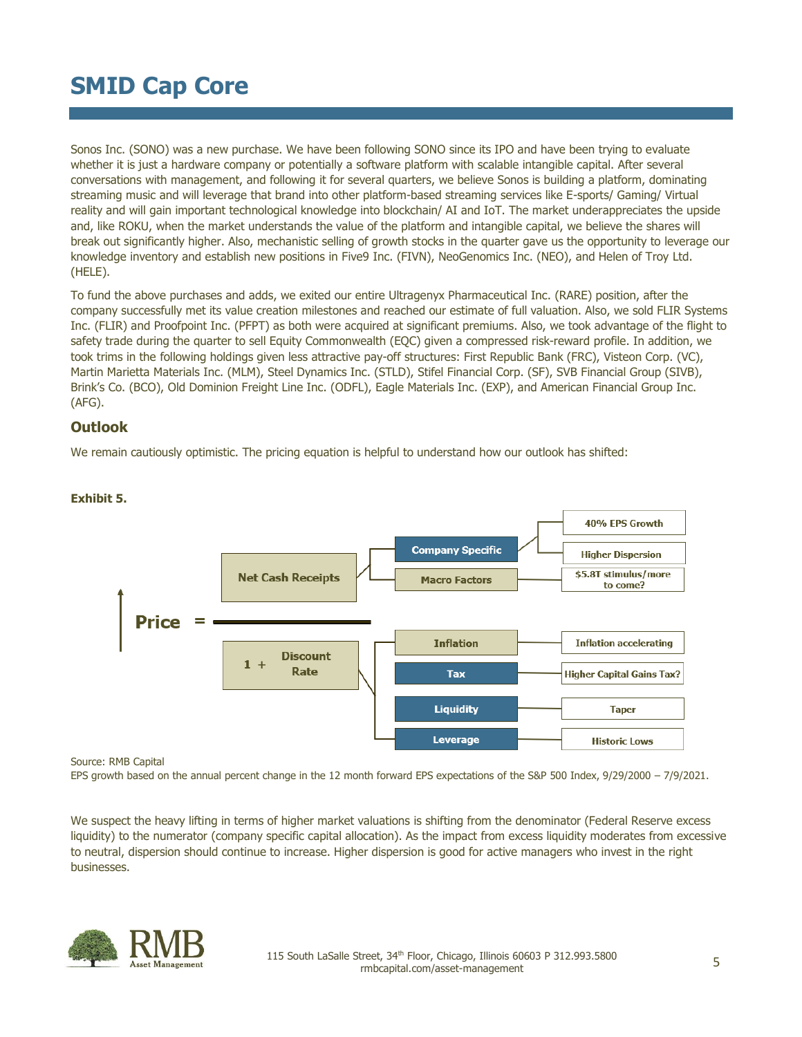Sonos Inc. (SONO) was a new purchase. We have been following SONO since its IPO and have been trying to evaluate whether it is just a hardware company or potentially a software platform with scalable intangible capital. After several conversations with management, and following it for several quarters, we believe Sonos is building a platform, dominating streaming music and will leverage that brand into other platform-based streaming services like E-sports/ Gaming/ Virtual reality and will gain important technological knowledge into blockchain/ AI and IoT. The market underappreciates the upside and, like ROKU, when the market understands the value of the platform and intangible capital, we believe the shares will break out significantly higher. Also, mechanistic selling of growth stocks in the quarter gave us the opportunity to leverage our knowledge inventory and establish new positions in Five9 Inc. (FIVN), NeoGenomics Inc. (NEO), and Helen of Troy Ltd. (HELE).

To fund the above purchases and adds, we exited our entire Ultragenyx Pharmaceutical Inc. (RARE) position, after the company successfully met its value creation milestones and reached our estimate of full valuation. Also, we sold FLIR Systems Inc. (FLIR) and Proofpoint Inc. (PFPT) as both were acquired at significant premiums. Also, we took advantage of the flight to safety trade during the quarter to sell Equity Commonwealth (EQC) given a compressed risk-reward profile. In addition, we took trims in the following holdings given less attractive pay-off structures: First Republic Bank (FRC), Visteon Corp. (VC), Martin Marietta Materials Inc. (MLM), Steel Dynamics Inc. (STLD), Stifel Financial Corp. (SF), SVB Financial Group (SIVB), Brink's Co. (BCO), Old Dominion Freight Line Inc. (ODFL), Eagle Materials Inc. (EXP), and American Financial Group Inc. (AFG).

### **Outlook**

We remain cautiously optimistic. The pricing equation is helpful to understand how our outlook has shifted:



### **Exhibit 5.**

Source: RMB Capital

EPS growth based on the annual percent change in the 12 month forward EPS expectations of the S&P 500 Index, 9/29/2000 – 7/9/2021.

We suspect the heavy lifting in terms of higher market valuations is shifting from the denominator (Federal Reserve excess liquidity) to the numerator (company specific capital allocation). As the impact from excess liquidity moderates from excessive to neutral, dispersion should continue to increase. Higher dispersion is good for active managers who invest in the right businesses.

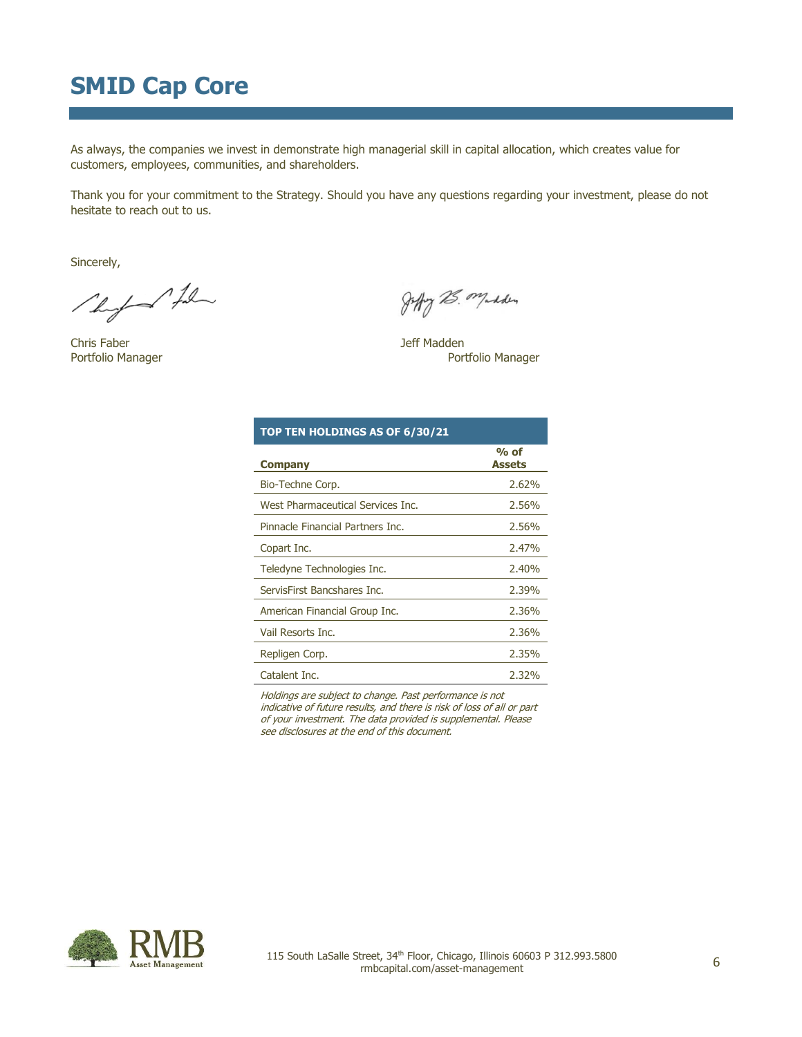As always, the companies we invest in demonstrate high managerial skill in capital allocation, which creates value for customers, employees, communities, and shareholders.

Thank you for your commitment to the Strategy. Should you have any questions regarding your investment, please do not hesitate to reach out to us.

Sincerely,

The for the

Chris Faber **Grand Chris Faber** Jeff Madden

Joffy 25. Madden

Portfolio Manager **Portfolio Manager** Portfolio Manager

| TOP TEN HOLDINGS AS OF 6/30/21    |                         |
|-----------------------------------|-------------------------|
| <b>Company</b>                    | $%$ of<br><b>Assets</b> |
| Bio-Techne Corp.                  | 2.62%                   |
| West Pharmaceutical Services Inc. | 2.56%                   |
| Pinnacle Financial Partners Inc.  | 2.56%                   |
| Copart Inc.                       | 2.47%                   |
| Teledyne Technologies Inc.        | 2.40%                   |
| ServisFirst Bancshares Inc.       | 2.39%                   |
| American Financial Group Inc.     | 2.36%                   |
| Vail Resorts Inc.                 | 2.36%                   |
| Repligen Corp.                    | 2.35%                   |
| Catalent Inc.                     | 2.32%                   |

Holdings are subject to change. Past performance is not indicative of future results, and there is risk of loss of all or part of your investment. The data provided is supplemental. Please see disclosures at the end of this document.

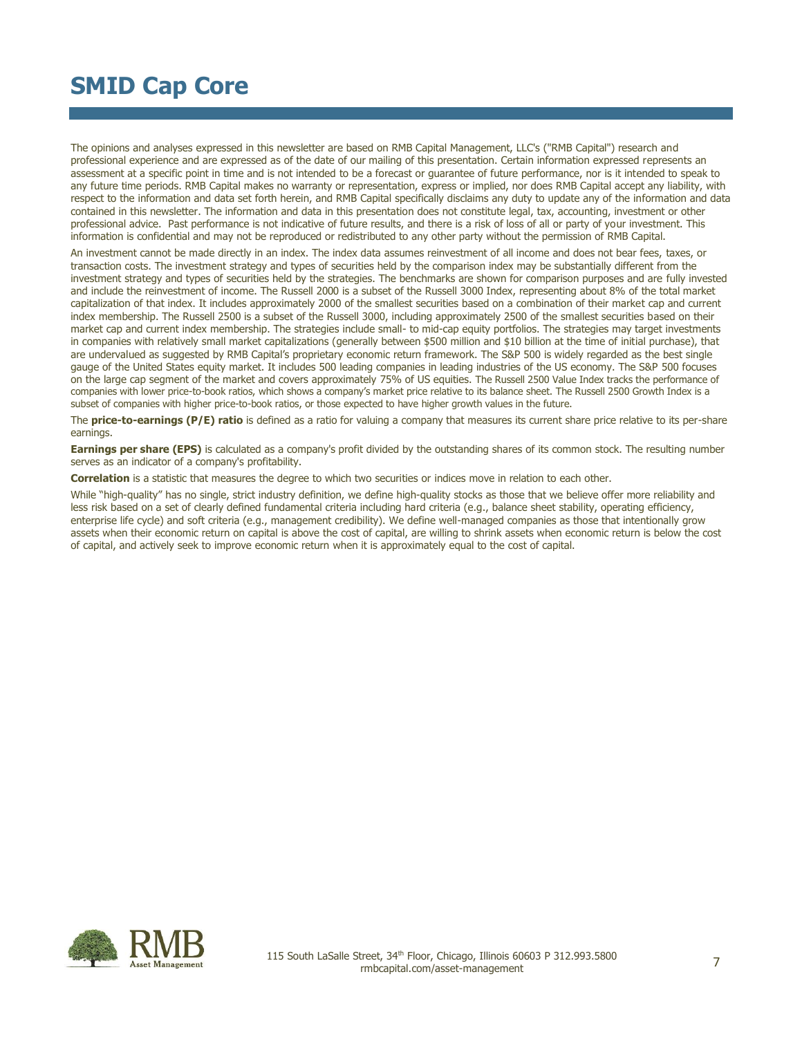The opinions and analyses expressed in this newsletter are based on RMB Capital Management, LLC's ("RMB Capital") research and professional experience and are expressed as of the date of our mailing of this presentation. Certain information expressed represents an assessment at a specific point in time and is not intended to be a forecast or guarantee of future performance, nor is it intended to speak to any future time periods. RMB Capital makes no warranty or representation, express or implied, nor does RMB Capital accept any liability, with respect to the information and data set forth herein, and RMB Capital specifically disclaims any duty to update any of the information and data contained in this newsletter. The information and data in this presentation does not constitute legal, tax, accounting, investment or other professional advice. Past performance is not indicative of future results, and there is a risk of loss of all or party of your investment. This information is confidential and may not be reproduced or redistributed to any other party without the permission of RMB Capital.

An investment cannot be made directly in an index. The index data assumes reinvestment of all income and does not bear fees, taxes, or transaction costs. The investment strategy and types of securities held by the comparison index may be substantially different from the investment strategy and types of securities held by the strategies. The benchmarks are shown for comparison purposes and are fully invested and include the reinvestment of income. The Russell 2000 is a subset of the Russell 3000 Index, representing about 8% of the total market capitalization of that index. It includes approximately 2000 of the smallest securities based on a combination of their market cap and current index membership. The Russell 2500 is a subset of the Russell 3000, including approximately 2500 of the smallest securities based on their market cap and current index membership. The strategies include small- to mid-cap equity portfolios. The strategies may target investments in companies with relatively small market capitalizations (generally between \$500 million and \$10 billion at the time of initial purchase), that are undervalued as suggested by RMB Capital's proprietary economic return framework. The S&P 500 is widely regarded as the best single gauge of the United States equity market. It includes 500 leading companies in leading industries of the US economy. The S&P 500 focuses on the large cap segment of the market and covers approximately 75% of US equities. The Russell 2500 Value Index tracks the performance of companies with lower price-to-book ratios, which shows a company's market price relative to its balance sheet. The Russell 2500 Growth Index is a subset of companies with higher price-to-book ratios, or those expected to have higher growth values in the future.

The **price-to-earnings (P/E) ratio** is defined as a ratio for valuing a company that measures its current share price relative to its per-share earnings.

**Earnings per share (EPS)** is calculated as a company's profit divided by the outstanding shares of its common stock. The resulting number serves as an indicator of a company's profitability.

**Correlation** is a statistic that measures the degree to which two securities or indices move in relation to each other.

While "high-quality" has no single, strict industry definition, we define high-quality stocks as those that we believe offer more reliability and less risk based on a set of clearly defined fundamental criteria including hard criteria (e.g., balance sheet stability, operating efficiency, enterprise life cycle) and soft criteria (e.g., management credibility). We define well-managed companies as those that intentionally grow assets when their economic return on capital is above the cost of capital, are willing to shrink assets when economic return is below the cost of capital, and actively seek to improve economic return when it is approximately equal to the cost of capital.

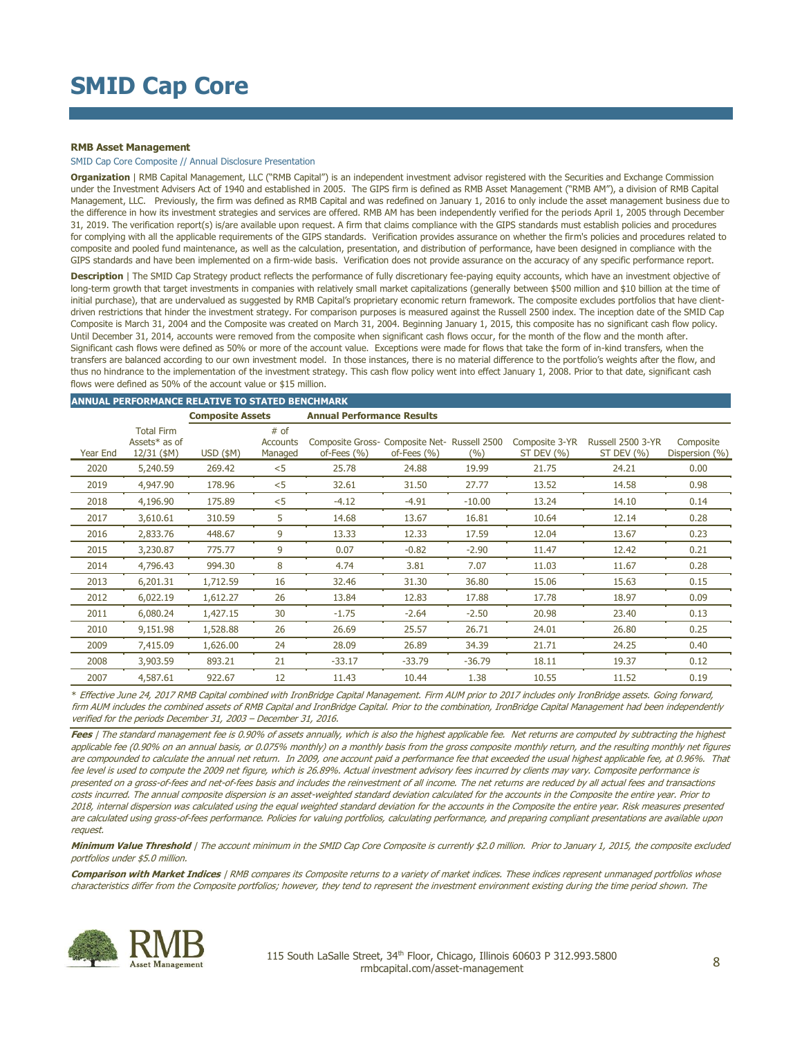#### **RMB Asset Management**

SMID Cap Core Composite // Annual Disclosure Presentation

**Organization** | RMB Capital Management, LLC ("RMB Capital") is an independent investment advisor registered with the Securities and Exchange Commission under the Investment Advisers Act of 1940 and established in 2005. The GIPS firm is defined as RMB Asset Management ("RMB AM"), a division of RMB Capital Management, LLC. Previously, the firm was defined as RMB Capital and was redefined on January 1, 2016 to only include the asset management business due to the difference in how its investment strategies and services are offered. RMB AM has been independently verified for the periods April 1, 2005 through December 31, 2019. The verification report(s) is/are available upon request. A firm that claims compliance with the GIPS standards must establish policies and procedures for complying with all the applicable requirements of the GIPS standards. Verification provides assurance on whether the firm's policies and procedures related to composite and pooled fund maintenance, as well as the calculation, presentation, and distribution of performance, have been designed in compliance with the GIPS standards and have been implemented on a firm-wide basis. Verification does not provide assurance on the accuracy of any specific performance report.

**Description** | The SMID Cap Strategy product reflects the performance of fully discretionary fee-paying equity accounts, which have an investment objective of long-term growth that target investments in companies with relatively small market capitalizations (generally between \$500 million and \$10 billion at the time of initial purchase), that are undervalued as suggested by RMB Capital's proprietary economic return framework. The composite excludes portfolios that have clientdriven restrictions that hinder the investment strategy. For comparison purposes is measured against the Russell 2500 index. The inception date of the SMID Cap Composite is March 31, 2004 and the Composite was created on March 31, 2004. Beginning January 1, 2015, this composite has no significant cash flow policy. Until December 31, 2014, accounts were removed from the composite when significant cash flows occur, for the month of the flow and the month after. Significant cash flows were defined as 50% or more of the account value. Exceptions were made for flows that take the form of in-kind transfers, when the transfers are balanced according to our own investment model. In those instances, there is no material difference to the portfolio's weights after the flow, and thus no hindrance to the implementation of the investment strategy. This cash flow policy went into effect January 1, 2008. Prior to that date, significant cash flows were defined as 50% of the account value or \$15 million.

#### **ANNUAL PERFORMANCE RELATIVE TO STATED BENCHMARK**

|          |                                                   | <b>Composite Assets</b> |                             | <b>Annual Performance Results</b>                              |                 |          |                              |                                 |                             |
|----------|---------------------------------------------------|-------------------------|-----------------------------|----------------------------------------------------------------|-----------------|----------|------------------------------|---------------------------------|-----------------------------|
| Year End | <b>Total Firm</b><br>Assets* as of<br>12/31 (\$M) | $USD$ (\$M)             | # of<br>Accounts<br>Managed | Composite Gross- Composite Net- Russell 2500<br>of-Fees $(% )$ | of-Fees $(\% )$ | (9/6)    | Composite 3-YR<br>ST DEV (%) | Russell 2500 3-YR<br>ST DEV (%) | Composite<br>Dispersion (%) |
| 2020     | 5,240.59                                          | 269.42                  | $<$ 5                       | 25.78                                                          | 24.88           | 19.99    | 21.75                        | 24.21                           | 0.00                        |
| 2019     | 4,947.90                                          | 178.96                  | $<$ 5                       | 32.61                                                          | 31.50           | 27.77    | 13.52                        | 14.58                           | 0.98                        |
| 2018     | 4,196.90                                          | 175.89                  | $<$ 5                       | $-4.12$                                                        | $-4.91$         | $-10.00$ | 13.24                        | 14.10                           | 0.14                        |
| 2017     | 3,610.61                                          | 310.59                  | 5                           | 14.68                                                          | 13.67           | 16.81    | 10.64                        | 12.14                           | 0.28                        |
| 2016     | 2,833.76                                          | 448.67                  | 9                           | 13.33                                                          | 12.33           | 17.59    | 12.04                        | 13.67                           | 0.23                        |
| 2015     | 3,230.87                                          | 775.77                  | 9                           | 0.07                                                           | $-0.82$         | $-2.90$  | 11.47                        | 12.42                           | 0.21                        |
| 2014     | 4,796.43                                          | 994.30                  | 8                           | 4.74                                                           | 3.81            | 7.07     | 11.03                        | 11.67                           | 0.28                        |
| 2013     | 6,201.31                                          | 1,712.59                | 16                          | 32.46                                                          | 31.30           | 36.80    | 15.06                        | 15.63                           | 0.15                        |
| 2012     | 6,022.19                                          | 1,612.27                | 26                          | 13.84                                                          | 12.83           | 17.88    | 17.78                        | 18.97                           | 0.09                        |
| 2011     | 6,080.24                                          | 1,427.15                | 30                          | $-1.75$                                                        | $-2.64$         | $-2.50$  | 20.98                        | 23.40                           | 0.13                        |
| 2010     | 9,151.98                                          | 1,528.88                | 26                          | 26.69                                                          | 25.57           | 26.71    | 24.01                        | 26.80                           | 0.25                        |
| 2009     | 7,415.09                                          | 1,626.00                | 24                          | 28.09                                                          | 26.89           | 34.39    | 21.71                        | 24.25                           | 0.40                        |
| 2008     | 3,903.59                                          | 893.21                  | 21                          | $-33.17$                                                       | $-33.79$        | $-36.79$ | 18.11                        | 19.37                           | 0.12                        |
| 2007     | 4,587.61                                          | 922.67                  | 12                          | 11.43                                                          | 10.44           | 1.38     | 10.55                        | 11.52                           | 0.19                        |

\* Effective June 24, 2017 RMB Capital combined with IronBridge Capital Management. Firm AUM prior to 2017 includes only IronBridge assets. Going forward, firm AUM includes the combined assets of RMB Capital and IronBridge Capital. Prior to the combination, IronBridge Capital Management had been independently verified for the periods December 31, 2003 – December 31, 2016.

Fees | The standard management fee is 0.90% of assets annually, which is also the highest applicable fee. Net returns are computed by subtracting the highest applicable fee (0.90% on an annual basis, or 0.075% monthly) on a monthly basis from the gross composite monthly return, and the resulting monthly net figures are compounded to calculate the annual net return. In 2009, one account paid a performance fee that exceeded the usual highest applicable fee, at 0.96%. That fee level is used to compute the 2009 net figure, which is 26.89%. Actual investment advisory fees incurred by clients may vary. Composite performance is presented on a gross-of-fees and net-of-fees basis and includes the reinvestment of all income. The net returns are reduced by all actual fees and transactions costs incurred. The annual composite dispersion is an asset-weighted standard deviation calculated for the accounts in the Composite the entire year. Prior to 2018, internal dispersion was calculated using the equal weighted standard deviation for the accounts in the Composite the entire year. Risk measures presented are calculated using gross-of-fees performance. Policies for valuing portfolios, calculating performance, and preparing compliant presentations are available upon request.

**Minimum Value Threshold** | The account minimum in the SMID Cap Core Composite is currently \$2.0 million. Prior to January 1, 2015, the composite excluded portfolios under \$5.0 million.

**Comparison with Market Indices** | RMB compares its Composite returns to a variety of market indices. These indices represent unmanaged portfolios whose characteristics differ from the Composite portfolios; however, they tend to represent the investment environment existing during the time period shown. The